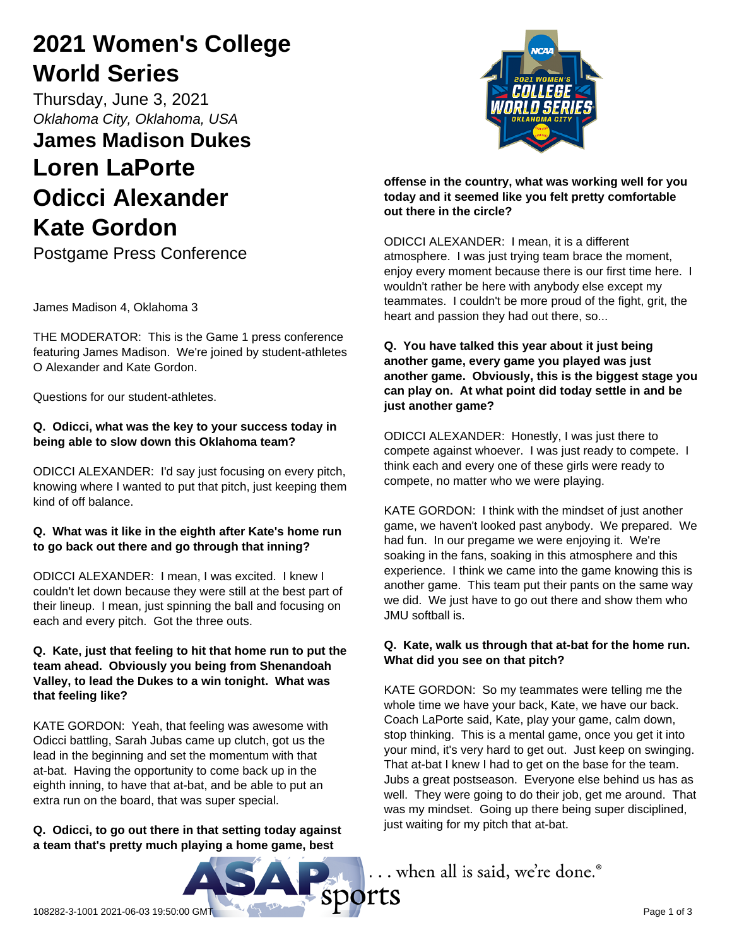# **2021 Women's College World Series**

Thursday, June 3, 2021 *Oklahoma City, Oklahoma, USA*

# **James Madison Dukes Loren LaPorte Odicci Alexander Kate Gordon**

Postgame Press Conference

James Madison 4, Oklahoma 3

THE MODERATOR: This is the Game 1 press conference featuring James Madison. We're joined by student-athletes O Alexander and Kate Gordon.

Questions for our student-athletes.

# **Q. Odicci, what was the key to your success today in being able to slow down this Oklahoma team?**

ODICCI ALEXANDER: I'd say just focusing on every pitch, knowing where I wanted to put that pitch, just keeping them kind of off balance.

# **Q. What was it like in the eighth after Kate's home run to go back out there and go through that inning?**

ODICCI ALEXANDER: I mean, I was excited. I knew I couldn't let down because they were still at the best part of their lineup. I mean, just spinning the ball and focusing on each and every pitch. Got the three outs.

# **Q. Kate, just that feeling to hit that home run to put the team ahead. Obviously you being from Shenandoah Valley, to lead the Dukes to a win tonight. What was that feeling like?**

KATE GORDON: Yeah, that feeling was awesome with Odicci battling, Sarah Jubas came up clutch, got us the lead in the beginning and set the momentum with that at-bat. Having the opportunity to come back up in the eighth inning, to have that at-bat, and be able to put an extra run on the board, that was super special.

# **Q. Odicci, to go out there in that setting today against a team that's pretty much playing a home game, best**





**offense in the country, what was working well for you today and it seemed like you felt pretty comfortable out there in the circle?**

ODICCI ALEXANDER: I mean, it is a different atmosphere. I was just trying team brace the moment, enjoy every moment because there is our first time here. I wouldn't rather be here with anybody else except my teammates. I couldn't be more proud of the fight, grit, the heart and passion they had out there, so...

## **Q. You have talked this year about it just being another game, every game you played was just another game. Obviously, this is the biggest stage you can play on. At what point did today settle in and be just another game?**

ODICCI ALEXANDER: Honestly, I was just there to compete against whoever. I was just ready to compete. I think each and every one of these girls were ready to compete, no matter who we were playing.

KATE GORDON: I think with the mindset of just another game, we haven't looked past anybody. We prepared. We had fun. In our pregame we were enjoying it. We're soaking in the fans, soaking in this atmosphere and this experience. I think we came into the game knowing this is another game. This team put their pants on the same way we did. We just have to go out there and show them who JMU softball is.

# **Q. Kate, walk us through that at-bat for the home run. What did you see on that pitch?**

KATE GORDON: So my teammates were telling me the whole time we have your back, Kate, we have our back. Coach LaPorte said, Kate, play your game, calm down, stop thinking. This is a mental game, once you get it into your mind, it's very hard to get out. Just keep on swinging. That at-bat I knew I had to get on the base for the team. Jubs a great postseason. Everyone else behind us has as well. They were going to do their job, get me around. That was my mindset. Going up there being super disciplined, just waiting for my pitch that at-bat.

... when all is said, we're done.®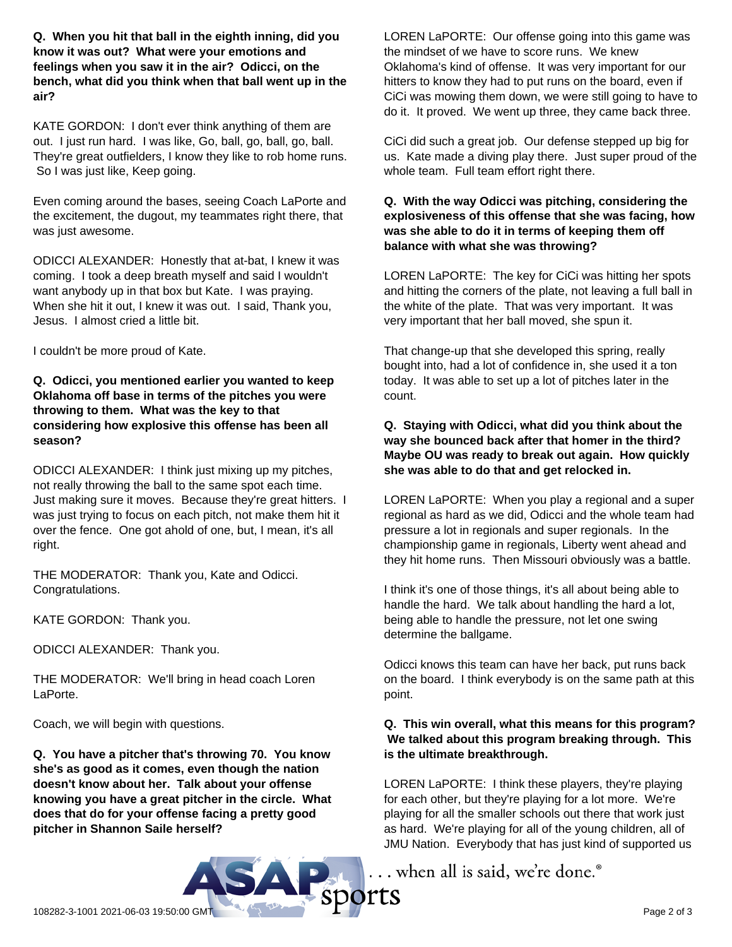**Q. When you hit that ball in the eighth inning, did you know it was out? What were your emotions and feelings when you saw it in the air? Odicci, on the bench, what did you think when that ball went up in the air?**

KATE GORDON: I don't ever think anything of them are out. I just run hard. I was like, Go, ball, go, ball, go, ball. They're great outfielders, I know they like to rob home runs. So I was just like, Keep going.

Even coming around the bases, seeing Coach LaPorte and the excitement, the dugout, my teammates right there, that was just awesome.

ODICCI ALEXANDER: Honestly that at-bat, I knew it was coming. I took a deep breath myself and said I wouldn't want anybody up in that box but Kate. I was praying. When she hit it out, I knew it was out. I said, Thank you, Jesus. I almost cried a little bit.

I couldn't be more proud of Kate.

#### **Q. Odicci, you mentioned earlier you wanted to keep Oklahoma off base in terms of the pitches you were throwing to them. What was the key to that considering how explosive this offense has been all season?**

ODICCI ALEXANDER: I think just mixing up my pitches, not really throwing the ball to the same spot each time. Just making sure it moves. Because they're great hitters. I was just trying to focus on each pitch, not make them hit it over the fence. One got ahold of one, but, I mean, it's all right.

THE MODERATOR: Thank you, Kate and Odicci. Congratulations.

KATE GORDON: Thank you.

ODICCI ALEXANDER: Thank you.

THE MODERATOR: We'll bring in head coach Loren LaPorte.

Coach, we will begin with questions.

**Q. You have a pitcher that's throwing 70. You know she's as good as it comes, even though the nation doesn't know about her. Talk about your offense knowing you have a great pitcher in the circle. What does that do for your offense facing a pretty good pitcher in Shannon Saile herself?**

LOREN LaPORTE: Our offense going into this game was the mindset of we have to score runs. We knew Oklahoma's kind of offense. It was very important for our hitters to know they had to put runs on the board, even if CiCi was mowing them down, we were still going to have to do it. It proved. We went up three, they came back three.

CiCi did such a great job. Our defense stepped up big for us. Kate made a diving play there. Just super proud of the whole team. Full team effort right there.

## **Q. With the way Odicci was pitching, considering the explosiveness of this offense that she was facing, how was she able to do it in terms of keeping them off balance with what she was throwing?**

LOREN LaPORTE: The key for CiCi was hitting her spots and hitting the corners of the plate, not leaving a full ball in the white of the plate. That was very important. It was very important that her ball moved, she spun it.

That change-up that she developed this spring, really bought into, had a lot of confidence in, she used it a ton today. It was able to set up a lot of pitches later in the count.

# **Q. Staying with Odicci, what did you think about the way she bounced back after that homer in the third? Maybe OU was ready to break out again. How quickly she was able to do that and get relocked in.**

LOREN LaPORTE: When you play a regional and a super regional as hard as we did, Odicci and the whole team had pressure a lot in regionals and super regionals. In the championship game in regionals, Liberty went ahead and they hit home runs. Then Missouri obviously was a battle.

I think it's one of those things, it's all about being able to handle the hard. We talk about handling the hard a lot, being able to handle the pressure, not let one swing determine the ballgame.

Odicci knows this team can have her back, put runs back on the board. I think everybody is on the same path at this point.

# **Q. This win overall, what this means for this program? We talked about this program breaking through. This is the ultimate breakthrough.**

LOREN LaPORTE: I think these players, they're playing for each other, but they're playing for a lot more. We're playing for all the smaller schools out there that work just as hard. We're playing for all of the young children, all of JMU Nation. Everybody that has just kind of supported us

... when all is said, we're done.<sup>®</sup>